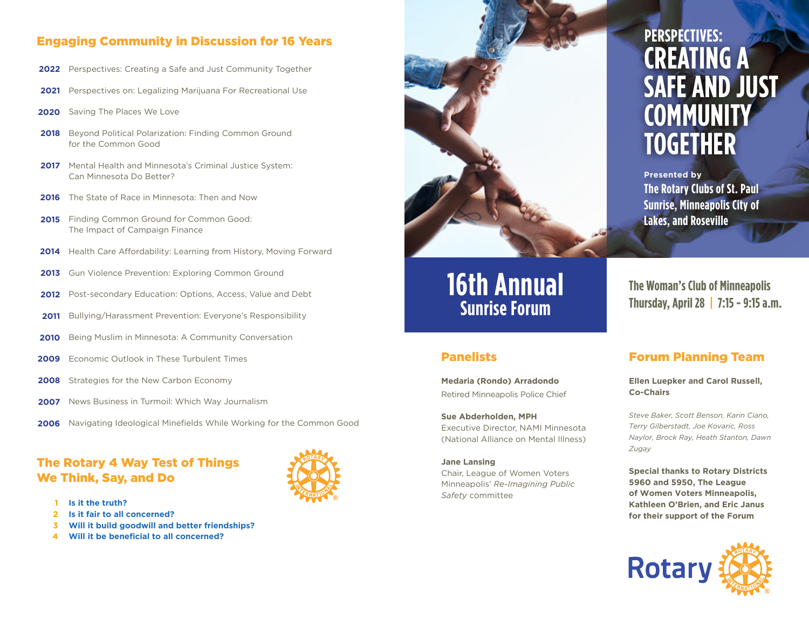### Engaging Community in Discussion for 16 Years

- 2022 Perspectives: Creating a Safe and Just Community Together
- Perspectives on: Legalizing Marijuana For Recreational Use **2021**
- Saving The Places We Love **2020**
- Beyond Political Polarization: Finding Common Ground for the Common Good **2018**
- 2017 Mental Health and Minnesota's Criminal Justice System: Can Minnesota Do Better?
- 2016 The State of Race in Minnesota: Then and Now
- 2015 Finding Common Ground for Common Good: The Impact of Campaign Finance
- Health Care Affordability: Learning from History, Moving Forward **2014**
- Gun Violence Prevention: Exploring Common Ground **2013**
- Post-secondary Education: Options, Access, Value and Debt **2012**
- Bullying/Harassment Prevention: Everyone's Responsibility **2011**
- Being Muslim in Minnesota: A Community Conversation **2010**
- Economic Outlook in These Turbulent Times **2009**
- 2008 Strategies for the New Carbon Economy
- News Business in Turmoil: Which Way Journalism **2007**
- 2006 Navigating Ideological Minefields While Working for the Common Good

## The Rotary 4 Way Test of Things We Think, Say, and Do



- **Is it the truth? 1**
- **Is it fair to all concerned? 2**
- **Will it build goodwill and better friendships? 3**
- **Will it be beneficial to all concerned? 4**



# **16th Annual Sunrise Forum**

#### Panelists

**Medaria (Rondo) Arradondo** Retired Minneapolis Police Chief

**Sue Abderholden, MPH** Executive Director, NAMI Minnesota (National Alliance on Mental Illness)

**Jane Lansing** Chair, League of Women Voters Minneapolis' *Re-Imagining Public Safety* committee

# **CREATING A SAFE AND JUST COMMUNITY TOGETHER PERSPECTIVES:**

**Presented by The Rotary Clubs of St. Paul Sunrise, Minneapolis City of Lakes, and Roseville**

**The Woman's Club of Minneapolis Thursday, April 28 | 7:15 - 9:15 a.m.**

### Forum Planning Team

**Ellen Luepker and Carol Russell, Co-Chairs**

*Steve Baker, Scott Benson, Karin Ciano, Terry Gilberstadt, Joe Kovaric, Ross Naylor, Brock Ray, Heath Stanton, Dawn Zugay*

**Special thanks to Rotary Districts 5960 and 5950, The League of Women Voters Minneapolis, Kathleen O'Brien, and Eric Janus for their support of the Forum**